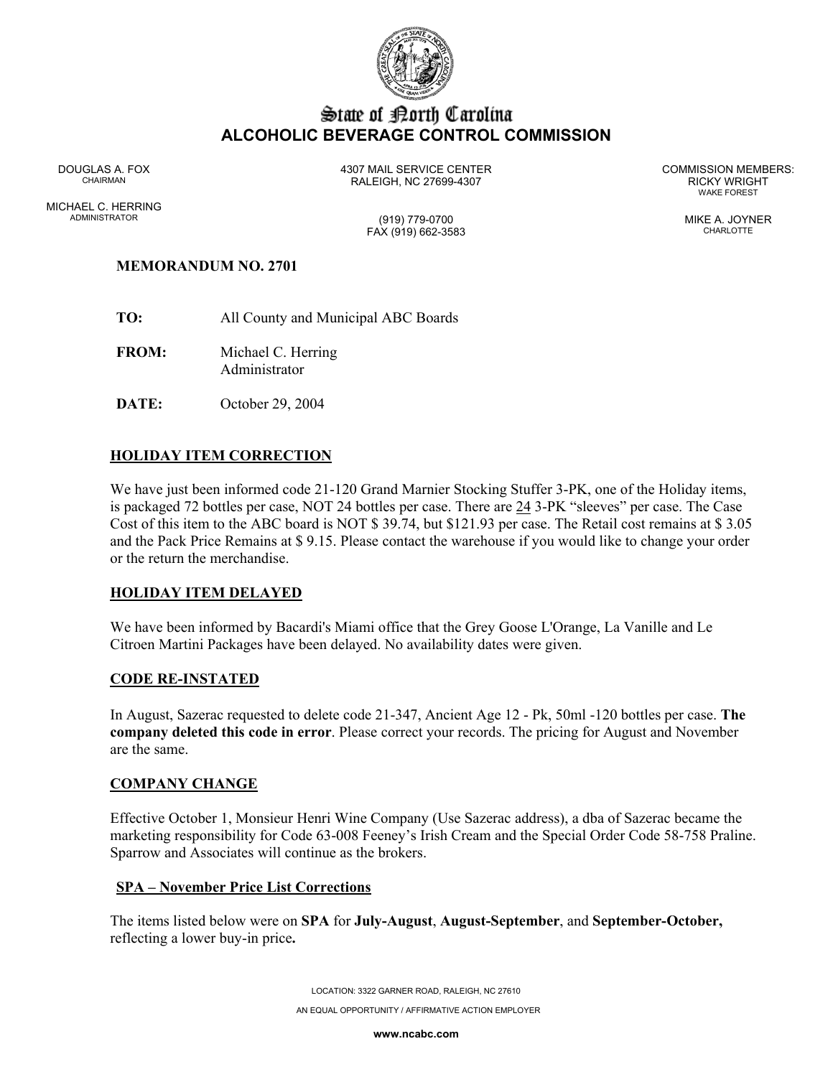

# State of Borth Carolina **ALCOHOLIC BEVERAGE CONTROL COMMISSION**

MICHAEL C. HERRING ADMINISTRATOR (919) 779-0700 MIKE A. JOYNER

DOUGLAS A. FOX 4307 MAIL SERVICE CENTER COMMISSION MEMBERS: CHAIRMAN RALEIGH, NC 27699-4307 RICKY WRIGHT

WAKE FOREST

FAX (919) 662-3583 CHARLOTTE

# **MEMORANDUM NO. 2701**

- **TO:** All County and Municipal ABC Boards
- **FROM:** Michael C. Herring Administrator
- **DATE:** October 29, 2004

# **HOLIDAY ITEM CORRECTION**

We have just been informed code 21-120 Grand Marnier Stocking Stuffer 3-PK, one of the Holiday items, is packaged 72 bottles per case, NOT 24 bottles per case. There are 24 3-PK "sleeves" per case. The Case Cost of this item to the ABC board is NOT \$ 39.74, but \$121.93 per case. The Retail cost remains at \$ 3.05 and the Pack Price Remains at \$ 9.15. Please contact the warehouse if you would like to change your order or the return the merchandise.

## **HOLIDAY ITEM DELAYED**

We have been informed by Bacardi's Miami office that the Grey Goose L'Orange, La Vanille and Le Citroen Martini Packages have been delayed. No availability dates were given.

#### **CODE RE-INSTATED**

In August, Sazerac requested to delete code 21-347, Ancient Age 12 - Pk, 50ml -120 bottles per case. **The company deleted this code in error**. Please correct your records. The pricing for August and November are the same.

#### **COMPANY CHANGE**

Effective October 1, Monsieur Henri Wine Company (Use Sazerac address), a dba of Sazerac became the marketing responsibility for Code 63-008 Feeney's Irish Cream and the Special Order Code 58-758 Praline. Sparrow and Associates will continue as the brokers.

## **SPA – November Price List Corrections**

The items listed below were on **SPA** for **July-August**, **August-September**, and **September-October,**  reflecting a lower buy-in price**.** 

> LOCATION: 3322 GARNER ROAD, RALEIGH, NC 27610 AN EQUAL OPPORTUNITY / AFFIRMATIVE ACTION EMPLOYER

> > **www.ncabc.com**